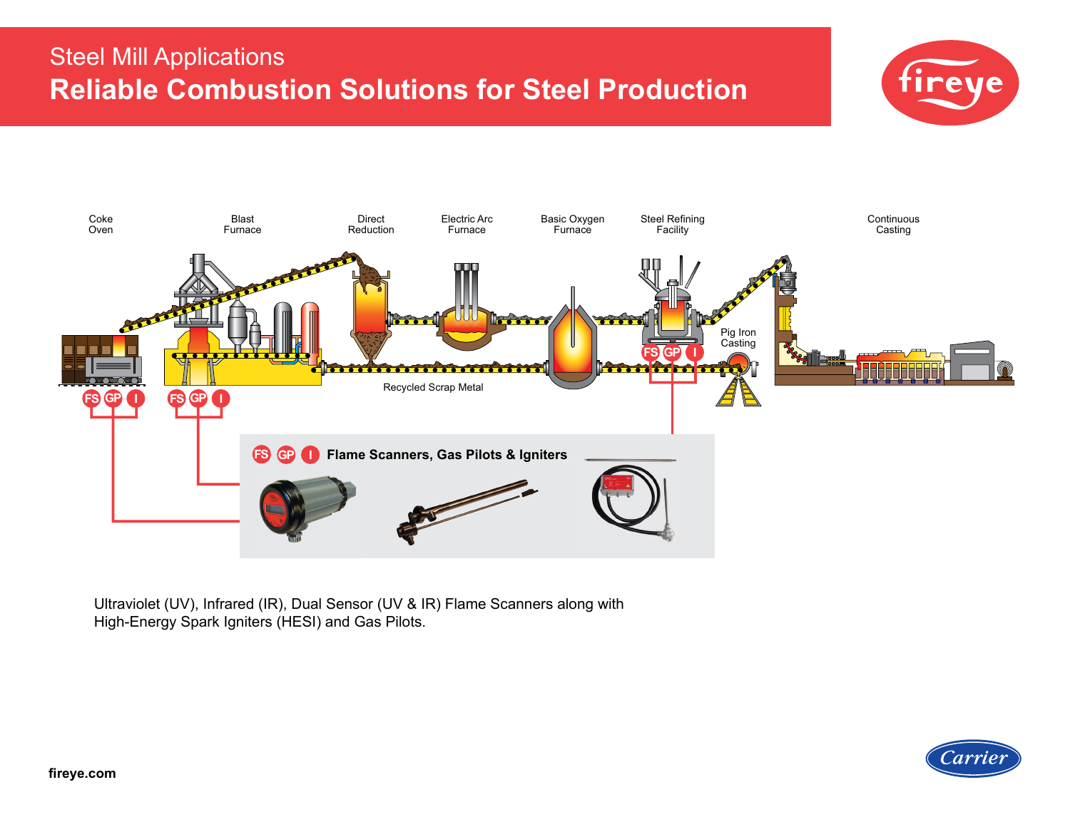# Steel Mill Applications **Reliable Combustion Solutions for Steel Production**





Ultraviolet (UV), Infrared (IR), Dual Sensor (UV & IR) Flame Scanners along with High-Energy Spark Igniters (HESI) and Gas Pilots.